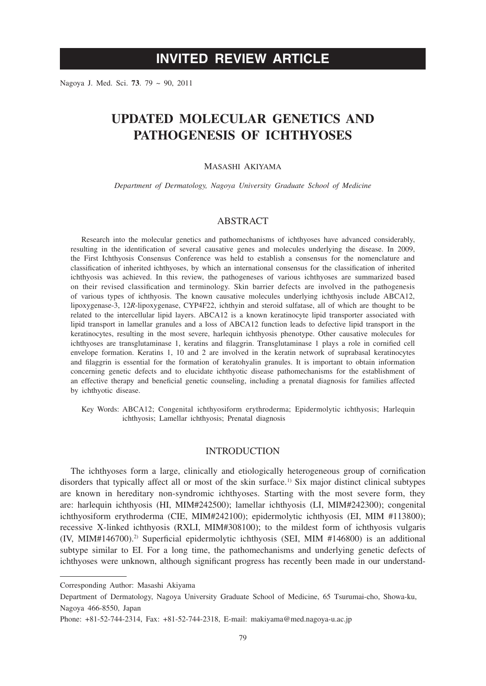# **INVITED REVIEW ARTICLE**

Nagoya J. Med. Sci. **73**. 79 ~ 90, 2011

# **UPDATED MOLECULAR GENETICS AND PATHOGENESIS OF ICHTHYOSES**

# MASASHI AKIYAMA

*Department of Dermatology, Nagoya University Graduate School of Medicine*

# ABSTRACT

Research into the molecular genetics and pathomechanisms of ichthyoses have advanced considerably, resulting in the identification of several causative genes and molecules underlying the disease. In 2009, the First Ichthyosis Consensus Conference was held to establish a consensus for the nomenclature and classification of inherited ichthyoses, by which an international consensus for the classification of inherited ichthyosis was achieved. In this review, the pathogeneses of various ichthyoses are summarized based on their revised classification and terminology. Skin barrier defects are involved in the pathogenesis of various types of ichthyosis. The known causative molecules underlying ichthyosis include ABCA12, lipoxygenase-3, 12*R*-lipoxygenase, CYP4F22, ichthyin and steroid sulfatase, all of which are thought to be related to the intercellular lipid layers. ABCA12 is a known keratinocyte lipid transporter associated with lipid transport in lamellar granules and a loss of ABCA12 function leads to defective lipid transport in the keratinocytes, resulting in the most severe, harlequin ichthyosis phenotype. Other causative molecules for ichthyoses are transglutaminase 1, keratins and filaggrin. Transglutaminase 1 plays a role in cornified cell envelope formation. Keratins 1, 10 and 2 are involved in the keratin network of suprabasal keratinocytes and filaggrin is essential for the formation of keratohyalin granules. It is important to obtain information concerning genetic defects and to elucidate ichthyotic disease pathomechanisms for the establishment of an effective therapy and beneficial genetic counseling, including a prenatal diagnosis for families affected by ichthyotic disease.

Key Words: ABCA12; Congenital ichthyosiform erythroderma; Epidermolytic ichthyosis; Harlequin ichthyosis; Lamellar ichthyosis; Prenatal diagnosis

# **INTRODUCTION**

The ichthyoses form a large, clinically and etiologically heterogeneous group of cornification disorders that typically affect all or most of the skin surface.1) Six major distinct clinical subtypes are known in hereditary non-syndromic ichthyoses. Starting with the most severe form, they are: harlequin ichthyosis (HI, MIM#242500); lamellar ichthyosis (LI, MIM#242300); congenital ichthyosiform erythroderma (CIE, MIM#242100); epidermolytic ichthyosis (EI, MIM #113800); recessive X-linked ichthyosis (RXLI, MIM#308100); to the mildest form of ichthyosis vulgaris  $(IV, MIM#146700)<sup>2</sup>$  Superficial epidermolytic ichthyosis (SEI, MIM #146800) is an additional subtype similar to EI. For a long time, the pathomechanisms and underlying genetic defects of ichthyoses were unknown, although significant progress has recently been made in our understand-

Corresponding Author: Masashi Akiyama

Department of Dermatology, Nagoya University Graduate School of Medicine, 65 Tsurumai-cho, Showa-ku, Nagoya 466-8550, Japan

Phone: +81-52-744-2314, Fax: +81-52-744-2318, E-mail: makiyama@med.nagoya-u.ac.jp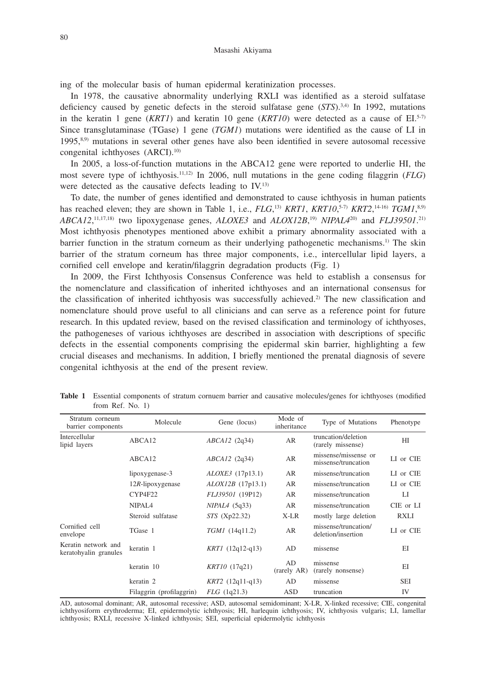ing of the molecular basis of human epidermal keratinization processes.

In 1978, the causative abnormality underlying RXLI was identified as a steroid sulfatase deficiency caused by genetic defects in the steroid sulfatase gene (*STS*).3,4) In 1992, mutations in the keratin 1 gene (*KRT1*) and keratin 10 gene (*KRT10*) were detected as a cause of EI.<sup>5-7)</sup> Since transglutaminase (TGase) 1 gene (*TGM1*) mutations were identified as the cause of LI in 1995,8,9) mutations in several other genes have also been identified in severe autosomal recessive congenital ichthyoses (ARCI).10)

In 2005, a loss-of-function mutations in the ABCA12 gene were reported to underlie HI, the most severe type of ichthyosis.11,12) In 2006, null mutations in the gene coding filaggrin (*FLG*) were detected as the causative defects leading to IV.13)

To date, the number of genes identified and demonstrated to cause ichthyosis in human patients has reached eleven; they are shown in Table 1, i.e., *FLG*,<sup>13</sup> *KRT1*, *KRT10*,<sup>5-7</sup> *KRT2*,<sup>14-16</sup> *TGM1*<sup>8,9</sup> *ABCA12*, 11,17,18) two lipoxygenase genes, *ALOXE3* and *ALOX12B*, 19) *NIPAL4*20) and *FLJ39501*. 21) Most ichthyosis phenotypes mentioned above exhibit a primary abnormality associated with a barrier function in the stratum corneum as their underlying pathogenetic mechanisms.<sup>1)</sup> The skin barrier of the stratum corneum has three major components, i.e., intercellular lipid layers, a cornified cell envelope and keratin/filaggrin degradation products (Fig. 1)

In 2009, the First Ichthyosis Consensus Conference was held to establish a consensus for the nomenclature and classification of inherited ichthyoses and an international consensus for the classification of inherited ichthyosis was successfully achieved.2) The new classification and nomenclature should prove useful to all clinicians and can serve as a reference point for future research. In this updated review, based on the revised classification and terminology of ichthyoses, the pathogeneses of various ichthyoses are described in association with descriptions of specific defects in the essential components comprising the epidermal skin barrier, highlighting a few crucial diseases and mechanisms. In addition, I briefly mentioned the prenatal diagnosis of severe congenital ichthyosis at the end of the present review.

| Stratum corneum<br>barrier components        | Molecule                 | Gene (locus)            | Mode of<br>inheritance | Type of Mutations                           | Phenotype   |
|----------------------------------------------|--------------------------|-------------------------|------------------------|---------------------------------------------|-------------|
| Intercellular<br>lipid layers                | ABCA12                   | $ABCA12$ (2q34)         | AR                     | truncation/deletion<br>(rarely missense)    | HI          |
|                                              | ABCA12                   | $ABCA12$ (2q34)         | AR                     | missense/missense or<br>missense/truncation | LI or CIE   |
|                                              | lipoxygenase-3           | <i>ALOXE3</i> (17p13.1) | AR                     | missense/truncation                         | LI or CIE   |
|                                              | $12R$ -lipoxygenase      | ALOX12B (17p13.1)       | AR                     | missense/truncation                         | LI or CIE   |
|                                              | CYP4F22                  | FLJ39501 (19P12)        | AR                     | missense/truncation                         | LI          |
|                                              | NIPAL <sub>4</sub>       | $NIPAL4$ (5q33)         | AR                     | missense/truncation                         | CIE or LI   |
|                                              | Steroid sulfatase        | STS (Xp22.32)           | X-LR                   | mostly large deletion                       | <b>RXLI</b> |
| Cornified cell<br>envelope                   | TGase 1                  | TGM1 (14q11.2)          | AR                     | missense/truncation/<br>deletion/insertion  | LI or CIE   |
| Keratin network and<br>keratohyalin granules | keratin 1                | $KRT1$ (12q12-q13)      | AD                     | missense                                    | EI          |
|                                              | keratin 10               | KRT10 (17q21)           | AD<br>(rarely AR)      | missense<br>(rarely nonsense)               | EI          |
|                                              | keratin 2                | $KRT2$ (12q11-q13)      | AD                     | missense                                    | SEI         |
|                                              | Filaggrin (profilaggrin) | $FLG$ (1q21.3)          | ASD                    | truncation                                  | IV          |

**Table 1** Essential components of stratum cornuem barrier and causative molecules/genes for ichthyoses (modified from Ref. No. 1)

AD, autosomal dominant; AR, autosomal recessive; ASD, autosomal semidominant; X-LR, X-linked recessive; CIE, congenital ichthyosiform erythroderma; EI, epidermolytic ichthyosis; HI, harlequin ichthyosis; IV, ichthyosis vulgaris; LI, lamellar ichthyosis; RXLI, recessive X-linked ichthyosis; SEI, superficial epidermolytic ichthyosis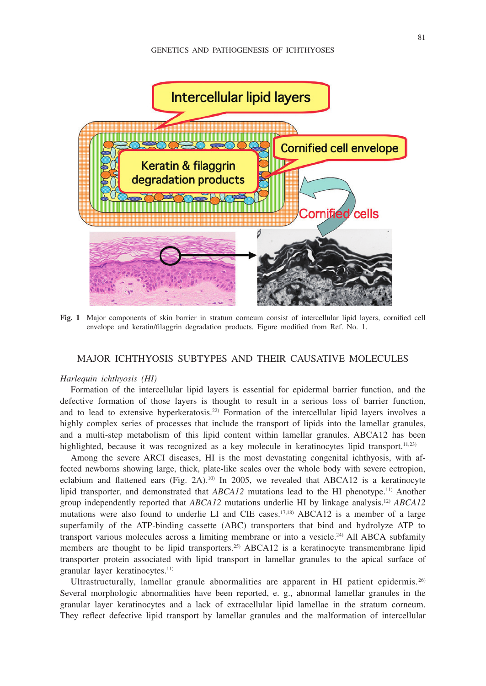

**Fig. 1** Major components of skin barrier in stratum corneum consist of intercellular lipid layers, cornified cell envelope and keratin/filaggrin degradation products. Figure modified from Ref. No. 1.

## MAJOR ICHTHYOSIS SUBTYPES AND THEIR CAUSATIVE MOLECULES

#### *Harlequin ichthyosis (HI)*

Formation of the intercellular lipid layers is essential for epidermal barrier function, and the defective formation of those layers is thought to result in a serious loss of barrier function, and to lead to extensive hyperkeratosis.22) Formation of the intercellular lipid layers involves a highly complex series of processes that include the transport of lipids into the lamellar granules, and a multi-step metabolism of this lipid content within lamellar granules. ABCA12 has been highlighted, because it was recognized as a key molecule in keratinocytes lipid transport.<sup>11,23)</sup>

Among the severe ARCI diseases, HI is the most devastating congenital ichthyosis, with affected newborns showing large, thick, plate-like scales over the whole body with severe ectropion, eclabium and flattened ears (Fig. 2A).<sup>10)</sup> In 2005, we revealed that ABCA12 is a keratinocyte lipid transporter, and demonstrated that *ABCA12* mutations lead to the HI phenotype.11) Another group independently reported that *ABCA12* mutations underlie HI by linkage analysis.12) *ABCA12* mutations were also found to underlie LI and CIE cases.<sup>17,18)</sup> ABCA12 is a member of a large superfamily of the ATP-binding cassette (ABC) transporters that bind and hydrolyze ATP to transport various molecules across a limiting membrane or into a vesicle.<sup>24)</sup> All ABCA subfamily members are thought to be lipid transporters.<sup>25)</sup> ABCA12 is a keratinocyte transmembrane lipid transporter protein associated with lipid transport in lamellar granules to the apical surface of granular layer keratinocytes.<sup>11)</sup>

Ultrastructurally, lamellar granule abnormalities are apparent in HI patient epidermis.<sup>26)</sup> Several morphologic abnormalities have been reported, e. g., abnormal lamellar granules in the granular layer keratinocytes and a lack of extracellular lipid lamellae in the stratum corneum. They reflect defective lipid transport by lamellar granules and the malformation of intercellular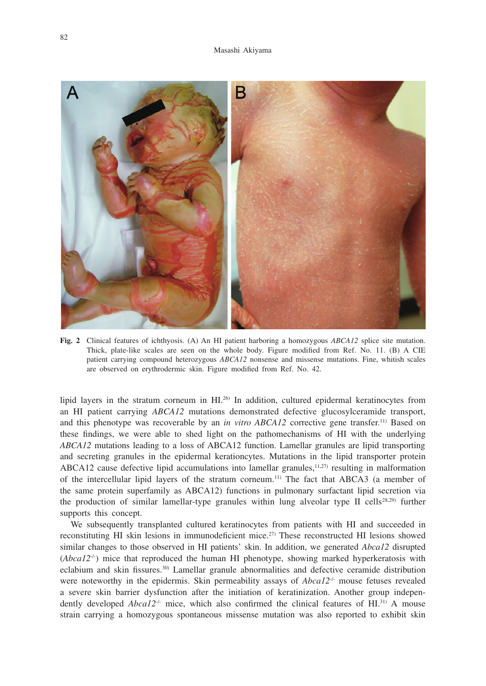

**Fig. 2** Clinical features of ichthyosis. (A) An HI patient harboring a homozygous *ABCA12* splice site mutation. Thick, plate-like scales are seen on the whole body. Figure modified from Ref. No. 11. (B) A CIE patient carrying compound heterozygous *ABCA12* nonsense and missense mutations. Fine, whitish scales are observed on erythrodermic skin. Figure modified from Ref. No. 42.

lipid layers in the stratum corneum in HI.26) In addition, cultured epidermal keratinocytes from an HI patient carrying *ABCA12* mutations demonstrated defective glucosylceramide transport, and this phenotype was recoverable by an *in vitro ABCA12* corrective gene transfer.11) Based on these findings, we were able to shed light on the pathomechanisms of HI with the underlying *ABCA12* mutations leading to a loss of ABCA12 function. Lamellar granules are lipid transporting and secreting granules in the epidermal kerationcytes. Mutations in the lipid transporter protein ABCA12 cause defective lipid accumulations into lamellar granules, $11,27$  resulting in malformation of the intercellular lipid layers of the stratum corneum.11) The fact that ABCA3 (a member of the same protein superfamily as ABCA12) functions in pulmonary surfactant lipid secretion via the production of similar lamellar-type granules within lung alveolar type II cells<sup>28,29)</sup> further supports this concept.

We subsequently transplanted cultured keratinocytes from patients with HI and succeeded in reconstituting HI skin lesions in immunodeficient mice.27) These reconstructed HI lesions showed similar changes to those observed in HI patients' skin. In addition, we generated *Abca12* disrupted  $(Abca12<sup>-/-</sup>)$  mice that reproduced the human HI phenotype, showing marked hyperkeratosis with eclabium and skin fissures.30) Lamellar granule abnormalities and defective ceramide distribution were noteworthy in the epidermis. Skin permeability assays of  $Abca12<sup>-/-</sup>$  mouse fetuses revealed a severe skin barrier dysfunction after the initiation of keratinization. Another group independently developed *Abca12<sup>-/-</sup>* mice, which also confirmed the clinical features of HI.<sup>31)</sup> A mouse strain carrying a homozygous spontaneous missense mutation was also reported to exhibit skin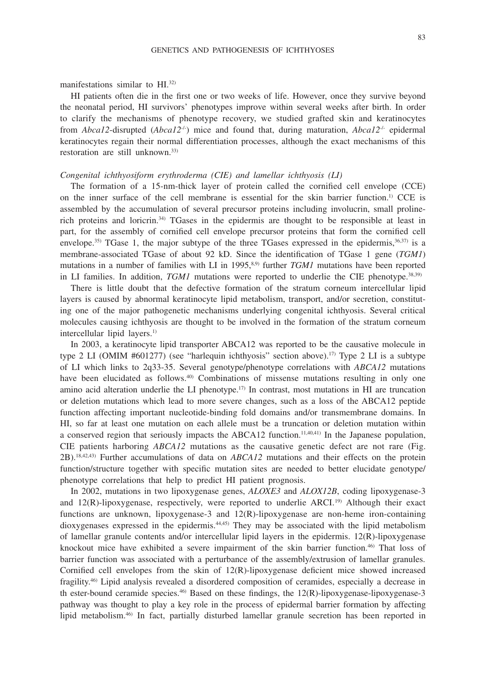manifestations similar to HI.32)

HI patients often die in the first one or two weeks of life. However, once they survive beyond the neonatal period, HI survivors' phenotypes improve within several weeks after birth. In order to clarify the mechanisms of phenotype recovery, we studied grafted skin and keratinocytes from *Abca12*-disrupted (*Abca12*-/-) mice and found that, during maturation, *Abca12*-/- epidermal keratinocytes regain their normal differentiation processes, although the exact mechanisms of this restoration are still unknown.<sup>33)</sup>

#### *Congenital ichthyosiform erythroderma (CIE) and lamellar ichthyosis (LI)*

The formation of a 15-nm-thick layer of protein called the cornified cell envelope (CCE) on the inner surface of the cell membrane is essential for the skin barrier function.1) CCE is assembled by the accumulation of several precursor proteins including involucrin, small prolinerich proteins and loricrin.34) TGases in the epidermis are thought to be responsible at least in part, for the assembly of cornified cell envelope precursor proteins that form the cornified cell envelope.<sup>35)</sup> TGase 1, the major subtype of the three TGases expressed in the epidermis,  $36,37$  is a membrane-associated TGase of about 92 kD. Since the identification of TGase 1 gene (*TGM1*) mutations in a number of families with LI in 1995,<sup>8,9)</sup> further *TGM1* mutations have been reported in LI families. In addition,  $TGM1$  mutations were reported to underlie the CIE phenotype.<sup>38,39)</sup>

There is little doubt that the defective formation of the stratum corneum intercellular lipid layers is caused by abnormal keratinocyte lipid metabolism, transport, and/or secretion, constituting one of the major pathogenetic mechanisms underlying congenital ichthyosis. Several critical molecules causing ichthyosis are thought to be involved in the formation of the stratum corneum intercellular lipid layers.<sup>1)</sup>

In 2003, a keratinocyte lipid transporter ABCA12 was reported to be the causative molecule in type 2 LI (OMIM #601277) (see "harlequin ichthyosis" section above).<sup>17)</sup> Type 2 LI is a subtype of LI which links to 2q33-35. Several genotype/phenotype correlations with *ABCA12* mutations have been elucidated as follows.<sup>40)</sup> Combinations of missense mutations resulting in only one amino acid alteration underlie the LI phenotype.17) In contrast, most mutations in HI are truncation or deletion mutations which lead to more severe changes, such as a loss of the ABCA12 peptide function affecting important nucleotide-binding fold domains and/or transmembrane domains. In HI, so far at least one mutation on each allele must be a truncation or deletion mutation within a conserved region that seriously impacts the ABCA12 function.11,40,41) In the Japanese population, CIE patients harboring *ABCA12* mutations as the causative genetic defect are not rare (Fig. 2B).18,42,43) Further accumulations of data on *ABCA12* mutations and their effects on the protein function/structure together with specific mutation sites are needed to better elucidate genotype/ phenotype correlations that help to predict HI patient prognosis.

In 2002, mutations in two lipoxygenase genes, *ALOXE3* and *ALOX12B*, coding lipoxygenase-3 and 12(R)-lipoxygenase, respectively, were reported to underlie ARCI.<sup>19)</sup> Although their exact functions are unknown, lipoxygenase-3 and 12(R)-lipoxygenase are non-heme iron-containing dioxygenases expressed in the epidermis.44,45) They may be associated with the lipid metabolism of lamellar granule contents and/or intercellular lipid layers in the epidermis. 12(R)-lipoxygenase knockout mice have exhibited a severe impairment of the skin barrier function.46) That loss of barrier function was associated with a perturbance of the assembly/extrusion of lamellar granules. Cornified cell envelopes from the skin of 12(R)-lipoxygenase deficient mice showed increased fragility.46) Lipid analysis revealed a disordered composition of ceramides, especially a decrease in th ester-bound ceramide species.<sup>46</sup> Based on these findings, the 12(R)-lipoxygenase-lipoxygenase-3 pathway was thought to play a key role in the process of epidermal barrier formation by affecting lipid metabolism.46) In fact, partially disturbed lamellar granule secretion has been reported in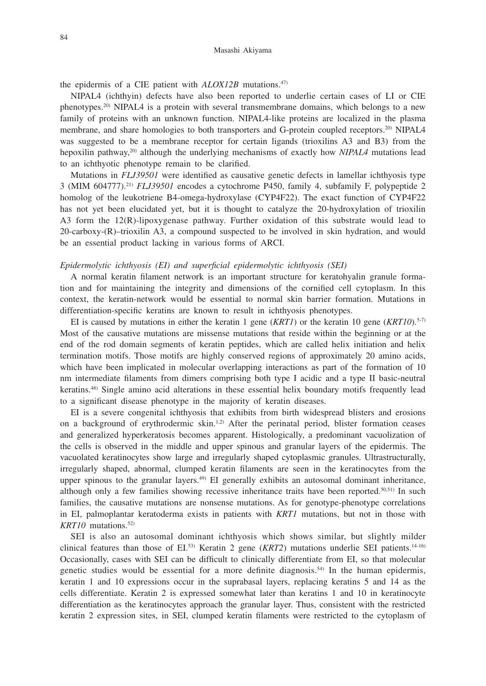#### Masashi Akiyama

the epidermis of a CIE patient with *ALOX12B* mutations.47)

NIPAL4 (ichthyin) defects have also been reported to underlie certain cases of LI or CIE phenotypes.20) NIPAL4 is a protein with several transmembrane domains, which belongs to a new family of proteins with an unknown function. NIPAL4-like proteins are localized in the plasma membrane, and share homologies to both transporters and G-protein coupled receptors.<sup>20)</sup> NIPAL4 was suggested to be a membrane receptor for certain ligands (trioxilins A3 and B3) from the hepoxilin pathway,20) although the underlying mechanisms of exactly how *NIPAL4* mutations lead to an ichthyotic phenotype remain to be clarified.

Mutations in *FLJ39501* were identified as causative genetic defects in lamellar ichthyosis type 3 (MIM 604777).21) *FLJ39501* encodes a cytochrome P450, family 4, subfamily F, polypeptide 2 homolog of the leukotriene B4-omega-hydroxylase (CYP4F22). The exact function of CYP4F22 has not yet been elucidated yet, but it is thought to catalyze the 20-hydroxylation of trioxilin A3 form the 12(R)-lipoxygenase pathway. Further oxidation of this substrate would lead to 20-carboxy-(R)–trioxilin A3, a compound suspected to be involved in skin hydration, and would be an essential product lacking in various forms of ARCI.

# *Epidermolytic ichthyosis (EI) and superficial epidermolytic ichthyosis (SEI)*

A normal keratin filament network is an important structure for keratohyalin granule formation and for maintaining the integrity and dimensions of the cornified cell cytoplasm. In this context, the keratin-network would be essential to normal skin barrier formation. Mutations in differentiation-specific keratins are known to result in ichthyosis phenotypes.

EI is caused by mutations in either the keratin 1 gene (*KRT1*) or the keratin 10 gene (*KRT10*).<sup>5-7)</sup> Most of the causative mutations are missense mutations that reside within the beginning or at the end of the rod domain segments of keratin peptides, which are called helix initiation and helix termination motifs. Those motifs are highly conserved regions of approximately 20 amino acids, which have been implicated in molecular overlapping interactions as part of the formation of 10 nm intermediate filaments from dimers comprising both type I acidic and a type II basic-neutral keratins.48) Single amino acid alterations in these essential helix boundary motifs frequently lead to a significant disease phenotype in the majority of keratin diseases.

EI is a severe congenital ichthyosis that exhibits from birth widespread blisters and erosions on a background of erythrodermic skin.<sup>1,2)</sup> After the perinatal period, blister formation ceases and generalized hyperkeratosis becomes apparent. Histologically, a predominant vacuolization of the cells is observed in the middle and upper spinous and granular layers of the epidermis. The vacuolated keratinocytes show large and irregularly shaped cytoplasmic granules. Ultrastructurally, irregularly shaped, abnormal, clumped keratin filaments are seen in the keratinocytes from the upper spinous to the granular layers. $49$ ) EI generally exhibits an autosomal dominant inheritance, although only a few families showing recessive inheritance traits have been reported.50,51) In such families, the causative mutations are nonsense mutations. As for genotype-phenotype correlations in EI, palmoplantar keratoderma exists in patients with *KRT1* mutations, but not in those with *KRT10* mutations.52)

SEI is also an autosomal dominant ichthyosis which shows similar, but slightly milder clinical features than those of EI.<sup>53)</sup> Keratin 2 gene (*KRT2*) mutations underlie SEI patients.<sup>14-16</sup> Occasionally, cases with SEI can be difficult to clinically differentiate from EI, so that molecular genetic studies would be essential for a more definite diagnosis.<sup>54)</sup> In the human epidermis, keratin 1 and 10 expressions occur in the suprabasal layers, replacing keratins 5 and 14 as the cells differentiate. Keratin 2 is expressed somewhat later than keratins 1 and 10 in keratinocyte differentiation as the keratinocytes approach the granular layer. Thus, consistent with the restricted keratin 2 expression sites, in SEI, clumped keratin filaments were restricted to the cytoplasm of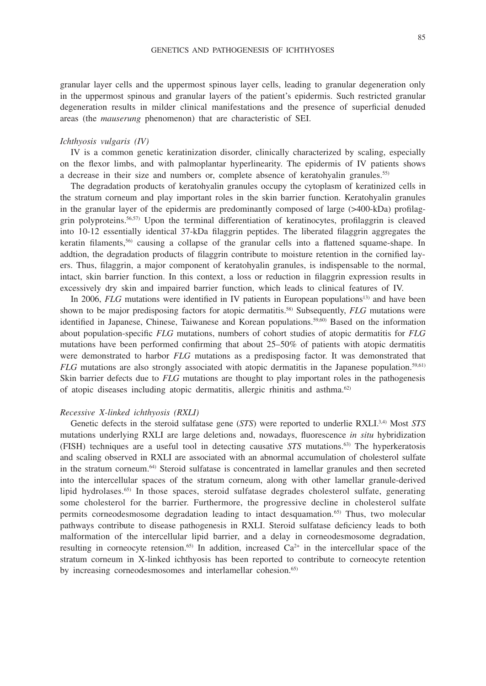granular layer cells and the uppermost spinous layer cells, leading to granular degeneration only in the uppermost spinous and granular layers of the patient's epidermis. Such restricted granular degeneration results in milder clinical manifestations and the presence of superficial denuded areas (the *mauserung* phenomenon) that are characteristic of SEI.

### *Ichthyosis vulgaris (IV)*

IV is a common genetic keratinization disorder, clinically characterized by scaling, especially on the flexor limbs, and with palmoplantar hyperlinearity. The epidermis of IV patients shows a decrease in their size and numbers or, complete absence of keratohyalin granules.55)

The degradation products of keratohyalin granules occupy the cytoplasm of keratinized cells in the stratum corneum and play important roles in the skin barrier function. Keratohyalin granules in the granular layer of the epidermis are predominantly composed of large (>400-kDa) profilaggrin polyproteins.56,57) Upon the terminal differentiation of keratinocytes, profilaggrin is cleaved into 10-12 essentially identical 37-kDa filaggrin peptides. The liberated filaggrin aggregates the keratin filaments,56) causing a collapse of the granular cells into a flattened squame-shape. In addtion, the degradation products of filaggrin contribute to moisture retention in the cornified layers. Thus, filaggrin, a major component of keratohyalin granules, is indispensable to the normal, intact, skin barrier function. In this context, a loss or reduction in filaggrin expression results in excessively dry skin and impaired barrier function, which leads to clinical features of IV.

In 2006, *FLG* mutations were identified in IV patients in European populations<sup>13)</sup> and have been shown to be major predisposing factors for atopic dermatitis.58) Subsequently, *FLG* mutations were identified in Japanese, Chinese, Taiwanese and Korean populations.59,60) Based on the information about population-specific *FLG* mutations, numbers of cohort studies of atopic dermatitis for *FLG* mutations have been performed confirming that about 25–50% of patients with atopic dermatitis were demonstrated to harbor *FLG* mutations as a predisposing factor. It was demonstrated that *FLG* mutations are also strongly associated with atopic dermatitis in the Japanese population.<sup>59,61)</sup> Skin barrier defects due to *FLG* mutations are thought to play important roles in the pathogenesis of atopic diseases including atopic dermatitis, allergic rhinitis and asthma.62)

## *Recessive X-linked ichthyosis (RXLI)*

Genetic defects in the steroid sulfatase gene (*STS*) were reported to underlie RXLI.3,4) Most *STS* mutations underlying RXLI are large deletions and, nowadays, fluorescence *in situ* hybridization (FISH) techniques are a useful tool in detecting causative *STS* mutations.63) The hyperkeratosis and scaling observed in RXLI are associated with an abnormal accumulation of cholesterol sulfate in the stratum corneum.64) Steroid sulfatase is concentrated in lamellar granules and then secreted into the intercellular spaces of the stratum corneum, along with other lamellar granule-derived lipid hydrolases.<sup>65)</sup> In those spaces, steroid sulfatase degrades cholesterol sulfate, generating some cholesterol for the barrier. Furthermore, the progressive decline in cholesterol sulfate permits corneodesmosome degradation leading to intact desquamation.65) Thus, two molecular pathways contribute to disease pathogenesis in RXLI. Steroid sulfatase deficiency leads to both malformation of the intercellular lipid barrier, and a delay in corneodesmosome degradation, resulting in corneocyte retension.<sup>65)</sup> In addition, increased  $Ca^{2+}$  in the intercellular space of the stratum corneum in X-linked ichthyosis has been reported to contribute to corneocyte retention by increasing corneodesmosomes and interlamellar cohesion.<sup>65)</sup>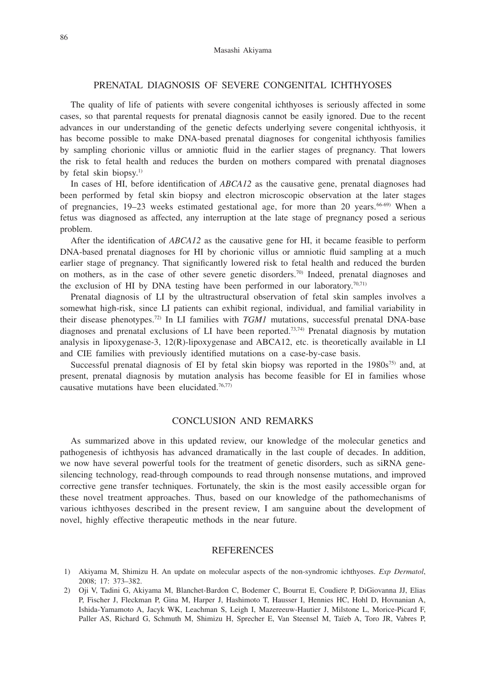# PRENATAL DIAGNOSIS OF SEVERE CONGENITAL ICHTHYOSES

The quality of life of patients with severe congenital ichthyoses is seriously affected in some cases, so that parental requests for prenatal diagnosis cannot be easily ignored. Due to the recent advances in our understanding of the genetic defects underlying severe congenital ichthyosis, it has become possible to make DNA-based prenatal diagnoses for congenital ichthyosis families by sampling chorionic villus or amniotic fluid in the earlier stages of pregnancy. That lowers the risk to fetal health and reduces the burden on mothers compared with prenatal diagnoses by fetal skin biopsy.<sup>1)</sup>

In cases of HI, before identification of *ABCA12* as the causative gene, prenatal diagnoses had been performed by fetal skin biopsy and electron microscopic observation at the later stages of pregnancies,  $19-23$  weeks estimated gestational age, for more than 20 years.<sup>66-69</sup> When a fetus was diagnosed as affected, any interruption at the late stage of pregnancy posed a serious problem.

After the identification of *ABCA12* as the causative gene for HI, it became feasible to perform DNA-based prenatal diagnoses for HI by chorionic villus or amniotic fluid sampling at a much earlier stage of pregnancy. That significantly lowered risk to fetal health and reduced the burden on mothers, as in the case of other severe genetic disorders.<sup>70)</sup> Indeed, prenatal diagnoses and the exclusion of HI by DNA testing have been performed in our laboratory.<sup>70,711</sup>

Prenatal diagnosis of LI by the ultrastructural observation of fetal skin samples involves a somewhat high-risk, since LI patients can exhibit regional, individual, and familial variability in their disease phenotypes.72) In LI families with *TGM1* mutations, successful prenatal DNA-base diagnoses and prenatal exclusions of LI have been reported.73,74) Prenatal diagnosis by mutation analysis in lipoxygenase-3, 12(R)-lipoxygenase and ABCA12, etc. is theoretically available in LI and CIE families with previously identified mutations on a case-by-case basis.

Successful prenatal diagnosis of EI by fetal skin biopsy was reported in the  $1980s^{75}$  and, at present, prenatal diagnosis by mutation analysis has become feasible for EI in families whose causative mutations have been elucidated.76,77)

# CONCLUSION AND REMARKS

As summarized above in this updated review, our knowledge of the molecular genetics and pathogenesis of ichthyosis has advanced dramatically in the last couple of decades. In addition, we now have several powerful tools for the treatment of genetic disorders, such as siRNA genesilencing technology, read-through compounds to read through nonsense mutations, and improved corrective gene transfer techniques. Fortunately, the skin is the most easily accessible organ for these novel treatment approaches. Thus, based on our knowledge of the pathomechanisms of various ichthyoses described in the present review, I am sanguine about the development of novel, highly effective therapeutic methods in the near future.

## REFERENCES

<sup>1)</sup> Akiyama M, Shimizu H. An update on molecular aspects of the non-syndromic ichthyoses. *Exp Dermatol*, 2008; 17: 373–382.

<sup>2)</sup> Oji V, Tadini G, Akiyama M, Blanchet-Bardon C, Bodemer C, Bourrat E, Coudiere P, DiGiovanna JJ, Elias P, Fischer J, Fleckman P, Gina M, Harper J, Hashimoto T, Hausser I, Hennies HC, Hohl D, Hovnanian A, Ishida-Yamamoto A, Jacyk WK, Leachman S, Leigh I, Mazereeuw-Hautier J, Milstone L, Morice-Picard F, Paller AS, Richard G, Schmuth M, Shimizu H, Sprecher E, Van Steensel M, Taïeb A, Toro JR, Vabres P,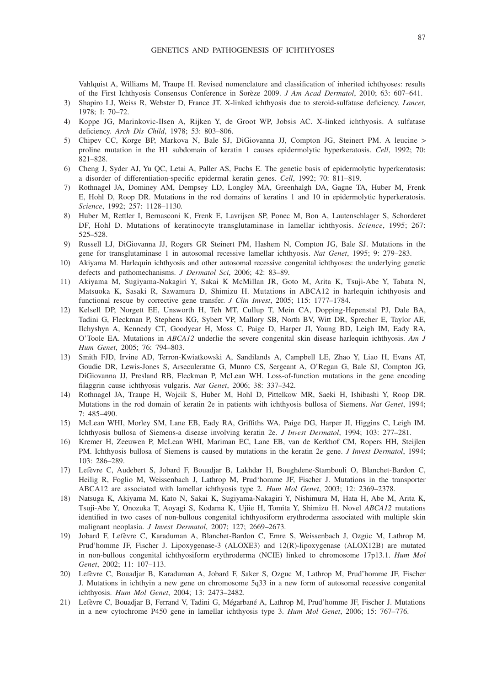Vahlquist A, Williams M, Traupe H. Revised nomenclature and classification of inherited ichthyoses: results of the First Ichthyosis Consensus Conference in Sorèze 2009. *J Am Acad Dermatol*, 2010; 63: 607–641.

- 3) Shapiro LJ, Weiss R, Webster D, France JT. X-linked ichthyosis due to steroid-sulfatase deficiency. *Lancet*, 1978; I: 70–72.
- 4) Koppe JG, Marinkovic-Ilsen A, Rijken Y, de Groot WP, Jobsis AC. X-linked ichthyosis. A sulfatase deficiency. *Arch Dis Child*, 1978; 53: 803–806.
- 5) Chipev CC, Korge BP, Markova N, Bale SJ, DiGiovanna JJ, Compton JG, Steinert PM. A leucine > proline mutation in the H1 subdomain of keratin 1 causes epidermolytic hyperkeratosis. *Cell*, 1992; 70: 821–828.
- 6) Cheng J, Syder AJ, Yu QC, Letai A, Paller AS, Fuchs E. The genetic basis of epidermolytic hyperkeratosis: a disorder of differentiation-specific epidermal keratin genes. *Cell*, 1992; 70: 811–819.
- 7) Rothnagel JA, Dominey AM, Dempsey LD, Longley MA, Greenhalgh DA, Gagne TA, Huber M, Frenk E, Hohl D, Roop DR. Mutations in the rod domains of keratins 1 and 10 in epidermolytic hyperkeratosis. *Science*, 1992; 257: 1128–1130.
- 8) Huber M, Rettler I, Bernasconi K, Frenk E, Lavrijsen SP, Ponec M, Bon A, Lautenschlager S, Schorderet DF, Hohl D. Mutations of keratinocyte transglutaminase in lamellar ichthyosis. *Science*, 1995; 267: 525–528.
- 9) Russell LJ, DiGiovanna JJ, Rogers GR Steinert PM, Hashem N, Compton JG, Bale SJ. Mutations in the gene for transglutaminase 1 in autosomal recessive lamellar ichthyosis. *Nat Genet*, 1995; 9: 279–283.
- 10) Akiyama M. Harlequin ichthyosis and other autosomal recessive congenital ichthyoses: the underlying genetic defects and pathomechanisms. *J Dermatol Sci*, 2006; 42: 83–89.
- 11) Akiyama M, Sugiyama-Nakagiri Y, Sakai K McMillan JR, Goto M, Arita K, Tsuji-Abe Y, Tabata N, Matsuoka K, Sasaki R, Sawamura D, Shimizu H. Mutations in ABCA12 in harlequin ichthyosis and functional rescue by corrective gene transfer. *J Clin Invest*, 2005; 115: 1777–1784.
- 12) Kelsell DP, Norgett EE, Unsworth H, Teh MT, Cullup T, Mein CA, Dopping-Hepenstal PJ, Dale BA, Tadini G, Fleckman P, Stephens KG, Sybert VP, Mallory SB, North BV, Witt DR, Sprecher E, Taylor AE, Ilchyshyn A, Kennedy CT, Goodyear H, Moss C, Paige D, Harper JI, Young BD, Leigh IM, Eady RA, O'Toole EA. Mutations in *ABCA12* underlie the severe congenital skin disease harlequin ichthyosis. *Am J Hum Genet*, 2005; 76: 794–803.
- 13) Smith FJD, Irvine AD, Terron-Kwiatkowski A, Sandilands A, Campbell LE, Zhao Y, Liao H, Evans AT, Goudie DR, Lewis-Jones S, Arseculeratne G, Munro CS, Sergeant A, O'Regan G, Bale SJ, Compton JG, DiGiovanna JJ, Presland RB, Fleckman P, McLean WH. Loss-of-function mutations in the gene encoding filaggrin cause ichthyosis vulgaris. *Nat Genet*, 2006; 38: 337–342.
- 14) Rothnagel JA, Traupe H, Wojcik S, Huber M, Hohl D, Pittelkow MR, Saeki H, Ishibashi Y, Roop DR. Mutations in the rod domain of keratin 2e in patients with ichthyosis bullosa of Siemens. *Nat Genet*, 1994;  $7:485-490.$
- 15) McLean WHI, Morley SM, Lane EB, Eady RA, Griffiths WA, Paige DG, Harper JI, Higgins C, Leigh IM. Ichthyosis bullosa of Siemens-a disease involving keratin 2e. *J Invest Dermatol*, 1994; 103: 277–281.
- 16) Kremer H, Zeeuwen P, McLean WHI, Mariman EC, Lane EB, van de Kerkhof CM, Ropers HH, Steijlen PM. Ichthyosis bullosa of Siemens is caused by mutations in the keratin 2e gene. *J Invest Dermatol*, 1994; 103: 286–289.
- 17) Lefèvre C, Audebert S, Jobard F, Bouadjar B, Lakhdar H, Boughdene-Stambouli O, Blanchet-Bardon C, Heilig R, Foglio M, Weissenbach J, Lathrop M, Prud'homme JF, Fischer J. Mutations in the transporter ABCA12 are associated with lamellar ichthyosis type 2. *Hum Mol Genet*, 2003; 12: 2369–2378.
- 18) Natsuga K, Akiyama M, Kato N, Sakai K, Sugiyama-Nakagiri Y, Nishimura M, Hata H, Abe M, Arita K, Tsuji-Abe Y, Onozuka T, Aoyagi S, Kodama K, Ujiie H, Tomita Y, Shimizu H. Novel *ABCA12* mutations identified in two cases of non-bullous congenital ichthyosiform erythroderma associated with multiple skin malignant neoplasia. *J Invest Dermatol*, 2007; 127; 2669–2673.
- 19) Jobard F, Lefèvre C, Karaduman A, Blanchet-Bardon C, Emre S, Weissenbach J, Ozgüc M, Lathrop M, Prud'homme JF, Fischer J. Lipoxygenase-3 (ALOXE3) and 12(R)-lipoxygenase (ALOX12B) are mutated in non-bullous congenital ichthyosiform erythroderma (NCIE) linked to chromosome 17p13.1. *Hum Mol Genet*, 2002; 11: 107–113.
- 20) Lefèvre C, Bouadjar B, Karaduman A, Jobard F, Saker S, Ozguc M, Lathrop M, Prud'homme JF, Fischer J. Mutations in ichthyin a new gene on chromosome 5q33 in a new form of autosomal recessive congenital ichthyosis. *Hum Mol Genet*, 2004; 13: 2473–2482.
- 21) Lefèvre C, Bouadjar B, Ferrand V, Tadini G, Mégarbané A, Lathrop M, Prud'homme JF, Fischer J. Mutations in a new cytochrome P450 gene in lamellar ichthyosis type 3. *Hum Mol Genet*, 2006; 15: 767–776.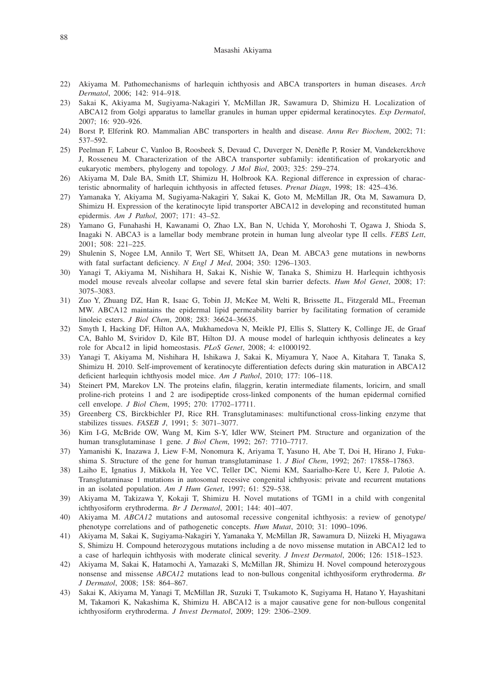#### Masashi Akiyama

- 22) Akiyama M. Pathomechanisms of harlequin ichthyosis and ABCA transporters in human diseases. *Arch Dermatol*, 2006; 142: 914–918.
- 23) Sakai K, Akiyama M, Sugiyama-Nakagiri Y, McMillan JR, Sawamura D, Shimizu H. Localization of ABCA12 from Golgi apparatus to lamellar granules in human upper epidermal keratinocytes. *Exp Dermatol*, 2007; 16: 920–926.
- 24) Borst P, Elferink RO. Mammalian ABC transporters in health and disease. *Annu Rev Biochem*, 2002; 71: 537–592.
- 25) Peelman F, Labeur C, Vanloo B, Roosbeek S, Devaud C, Duverger N, Denèfle P, Rosier M, Vandekerckhove J, Rosseneu M. Characterization of the ABCA transporter subfamily: identification of prokaryotic and eukaryotic members, phylogeny and topology. *J Mol Biol*, 2003; 325: 259–274.
- 26) Akiyama M, Dale BA, Smith LT, Shimizu H, Holbrook KA. Regional difference in expression of characteristic abnormality of harlequin ichthyosis in affected fetuses. *Prenat Diagn*, 1998; 18: 425–436.
- 27) Yamanaka Y, Akiyama M, Sugiyama-Nakagiri Y, Sakai K, Goto M, McMillan JR, Ota M, Sawamura D, Shimizu H. Expression of the keratinocyte lipid transporter ABCA12 in developing and reconstituted human epidermis. *Am J Pathol*, 2007; 171: 43–52.
- 28) Yamano G, Funahashi H, Kawanami O, Zhao LX, Ban N, Uchida Y, Morohoshi T, Ogawa J, Shioda S, Inagaki N. ABCA3 is a lamellar body membrane protein in human lung alveolar type II cells. *FEBS Lett*, 2001; 508: 221–225.
- 29) Shulenin S, Nogee LM, Annilo T, Wert SE, Whitsett JA, Dean M. ABCA3 gene mutations in newborns with fatal surfactant deficiency. *N Engl J Med*, 2004; 350: 1296–1303.
- 30) Yanagi T, Akiyama M, Nishihara H, Sakai K, Nishie W, Tanaka S, Shimizu H. Harlequin ichthyosis model mouse reveals alveolar collapse and severe fetal skin barrier defects. *Hum Mol Genet*, 2008; 17: 3075–3083.
- 31) Zuo Y, Zhuang DZ, Han R, Isaac G, Tobin JJ, McKee M, Welti R, Brissette JL, Fitzgerald ML, Freeman MW. ABCA12 maintains the epidermal lipid permeability barrier by facilitating formation of ceramide linoleic esters. *J Biol Chem*, 2008; 283: 36624–36635.
- 32) Smyth I, Hacking DF, Hilton AA, Mukhamedova N, Meikle PJ, Ellis S, Slattery K, Collinge JE, de Graaf CA, Bahlo M, Sviridov D, Kile BT, Hilton DJ. A mouse model of harlequin ichthyosis delineates a key role for Abca12 in lipid homeostasis. *PLoS Genet*, 2008; 4: e1000192.
- 33) Yanagi T, Akiyama M, Nishihara H, Ishikawa J, Sakai K, Miyamura Y, Naoe A, Kitahara T, Tanaka S, Shimizu H. 2010. Self-improvement of keratinocyte differentiation defects during skin maturation in ABCA12 deficient harlequin ichthyosis model mice. *Am J Pathol*, 2010; 177: 106–118.
- 34) Steinert PM, Marekov LN. The proteins elafin, filaggrin, keratin intermediate filaments, loricirn, and small proline-rich proteins 1 and 2 are isodipeptide cross-linked components of the human epidermal cornified cell envelope. *J Biol Chem*, 1995; 270: 17702–17711.
- 35) Greenberg CS, Birckbichler PJ, Rice RH. Transglutaminases: multifunctional cross-linking enzyme that stabilizes tissues. *FASEB J*, 1991; 5: 3071–3077.
- 36) Kim I-G, McBride OW, Wang M, Kim S-Y, Idler WW, Steinert PM. Structure and organization of the human transglutaminase 1 gene. *J Biol Chem*, 1992; 267: 7710–7717.
- 37) Yamanishi K, Inazawa J, Liew F-M, Nonomura K, Ariyama T, Yasuno H, Abe T, Doi H, Hirano J, Fukushima S. Structure of the gene for human transglutaminase 1. *J Biol Chem*, 1992; 267: 17858–17863.
- 38) Laiho E, Ignatius J, Mikkola H, Yee VC, Teller DC, Niemi KM, Saarialho-Kere U, Kere J, Palotie A. Transglutaminase 1 mutations in autosomal recessive congenital ichthyosis: private and recurrent mutations in an isolated population. *Am J Hum Genet*, 1997; 61: 529–538.
- 39) Akiyama M, Takizawa Y, Kokaji T, Shimizu H. Novel mutations of TGM1 in a child with congenital ichthyosiform erythroderma. *Br J Dermatol*, 2001; 144: 401–407.
- 40) Akiyama M. *ABCA12* mutations and autosomal recessive congenital ichthyosis: a review of genotype/ phenotype correlations and of pathogenetic concepts. *Hum Mutat*, 2010; 31: 1090–1096.
- 41) Akiyama M, Sakai K, Sugiyama-Nakagiri Y, Yamanaka Y, McMillan JR, Sawamura D, Niizeki H, Miyagawa S, Shimizu H. Compound heterozygous mutations including a de novo missense mutation in ABCA12 led to a case of harlequin ichthyosis with moderate clinical severity. *J Invest Dermatol*, 2006; 126: 1518–1523.
- 42) Akiyama M, Sakai K, Hatamochi A, Yamazaki S, McMillan JR, Shimizu H. Novel compound heterozygous nonsense and missense *ABCA12* mutations lead to non-bullous congenital ichthyosiform erythroderma. *Br J Dermatol*, 2008; 158: 864–867.
- 43) Sakai K, Akiyama M, Yanagi T, McMillan JR, Suzuki T, Tsukamoto K, Sugiyama H, Hatano Y, Hayashitani M, Takamori K, Nakashima K, Shimizu H. ABCA12 is a major causative gene for non-bullous congenital ichthyosiform erythroderma. *J Invest Dermatol*, 2009; 129: 2306–2309.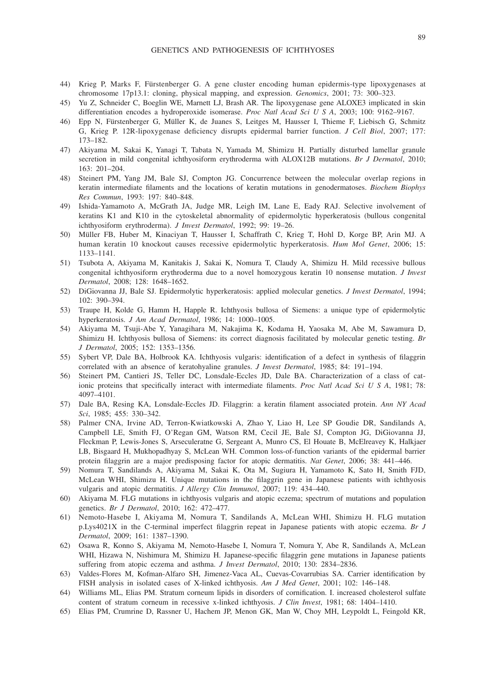- 44) Krieg P, Marks F, Fürstenberger G. A gene cluster encoding human epidermis-type lipoxygenases at chromosome 17p13.1: cloning, physical mapping, and expression. *Genomics*, 2001; 73: 300–323.
- 45) Yu Z, Schneider C, Boeglin WE, Marnett LJ, Brash AR. The lipoxygenase gene ALOXE3 implicated in skin differentiation encodes a hydroperoxide isomerase. *Proc Natl Acad Sci U S A*, 2003; 100: 9162–9167.
- 46) Epp N, Fürstenberger G, Müller K, de Juanes S, Leitges M, Hausser I, Thieme F, Liebisch G, Schmitz G, Krieg P. 12R-lipoxygenase deficiency disrupts epidermal barrier function. *J Cell Biol*, 2007; 177: 173–182.
- 47) Akiyama M, Sakai K, Yanagi T, Tabata N, Yamada M, Shimizu H. Partially disturbed lamellar granule secretion in mild congenital ichthyosiform erythroderma with ALOX12B mutations. *Br J Dermatol*, 2010; 163: 201–204.
- 48) Steinert PM, Yang JM, Bale SJ, Compton JG. Concurrence between the molecular overlap regions in keratin intermediate filaments and the locations of keratin mutations in genodermatoses. *Biochem Biophys Res Commun*, 1993: 197: 840–848.
- 49) Ishida-Yamamoto A, McGrath JA, Judge MR, Leigh IM, Lane E, Eady RAJ. Selective involvement of keratins K1 and K10 in the cytoskeletal abnormality of epidermolytic hyperkeratosis (bullous congenital ichthyosiform erythroderma). *J Invest Dermatol*, 1992; 99: 19–26.
- 50) Müller FB, Huber M, Kinaciyan T, Hausser I, Schaffrath C, Krieg T, Hohl D, Korge BP, Arin MJ. A human keratin 10 knockout causes recessive epidermolytic hyperkeratosis. *Hum Mol Genet*, 2006; 15: 1133–1141.
- 51) Tsubota A, Akiyama M, Kanitakis J, Sakai K, Nomura T, Claudy A, Shimizu H. Mild recessive bullous congenital ichthyosiform erythroderma due to a novel homozygous keratin 10 nonsense mutation. *J Invest Dermatol*, 2008; 128: 1648–1652.
- 52) DiGiovanna JJ, Bale SJ. Epidermolytic hyperkeratosis: applied molecular genetics. *J Invest Dermatol*, 1994; 102: 390–394.
- 53) Traupe H, Kolde G, Hamm H, Happle R. Ichthyosis bullosa of Siemens: a unique type of epidermolytic hyperkeratosis. *J Am Acad Dermatol*, 1986; 14: 1000–1005.
- 54) Akiyama M, Tsuji-Abe Y, Yanagihara M, Nakajima K, Kodama H, Yaosaka M, Abe M, Sawamura D, Shimizu H. Ichthyosis bullosa of Siemens: its correct diagnosis facilitated by molecular genetic testing. *Br J Dermatol*, 2005; 152: 1353–1356.
- 55) Sybert VP, Dale BA, Holbrook KA. Ichthyosis vulgaris: identification of a defect in synthesis of filaggrin correlated with an absence of keratohyaline granules. *J Invest Dermatol*, 1985; 84: 191–194.
- 56) Steinert PM, Cantieri JS, Teller DC, Lonsdale-Eccles JD, Dale BA. Characterization of a class of cationic proteins that specifically interact with intermediate filaments. *Proc Natl Acad Sci U S A*, 1981; 78: 4097–4101.
- 57) Dale BA, Resing KA, Lonsdale-Eccles JD. Filaggrin: a keratin filament associated protein. *Ann NY Acad Sci*, 1985; 455: 330–342.
- 58) Palmer CNA, Irvine AD, Terron-Kwiatkowski A, Zhao Y, Liao H, Lee SP Goudie DR, Sandilands A, Campbell LE, Smith FJ, O'Regan GM, Watson RM, Cecil JE, Bale SJ, Compton JG, DiGiovanna JJ, Fleckman P, Lewis-Jones S, Arseculeratne G, Sergeant A, Munro CS, El Houate B, McElreavey K, Halkjaer LB, Bisgaard H, Mukhopadhyay S, McLean WH. Common loss-of-function variants of the epidermal barrier protein filaggrin are a major predisposing factor for atopic dermatitis. *Nat Genet*, 2006; 38: 441–446.
- 59) Nomura T, Sandilands A, Akiyama M, Sakai K, Ota M, Sugiura H, Yamamoto K, Sato H, Smith FJD, McLean WHI, Shimizu H. Unique mutations in the filaggrin gene in Japanese patients with ichthyosis vulgaris and atopic dermatitis. *J Allergy Clin Immunol*, 2007; 119: 434–440.
- 60) Akiyama M. FLG mutations in ichthyosis vulgaris and atopic eczema; spectrum of mutations and population genetics. *Br J Dermatol*, 2010; 162: 472–477.
- 61) Nemoto-Hasebe I, Akiyama M, Nomura T, Sandilands A, McLean WHI, Shimizu H. FLG mutation p.Lys4021X in the C-terminal imperfect filaggrin repeat in Japanese patients with atopic eczema. *Br J Dermatol*, 2009; 161: 1387–1390.
- 62) Osawa R, Konno S, Akiyama M, Nemoto-Hasebe I, Nomura T, Nomura Y, Abe R, Sandilands A, McLean WHI, Hizawa N, Nishimura M, Shimizu H. Japanese-specific filaggrin gene mutations in Japanese patients suffering from atopic eczema and asthma. *J Invest Dermatol*, 2010; 130: 2834–2836.
- 63) Valdes-Flores M, Kofman-Alfaro SH, Jimenez-Vaca AL, Cuevas-Covarrubias SA. Carrier identification by FISH analysis in isolated cases of X-linked ichthyosis. *Am J Med Genet*, 2001; 102: 146–148.
- 64) Williams ML, Elias PM. Stratum corneum lipids in disorders of cornification. I. increased cholesterol sulfate content of stratum corneum in recessive x-linked ichthyosis. *J Clin Invest*, 1981; 68: 1404–1410.
- 65) Elias PM, Crumrine D, Rassner U, Hachem JP, Menon GK, Man W, Choy MH, Leypoldt L, Feingold KR,